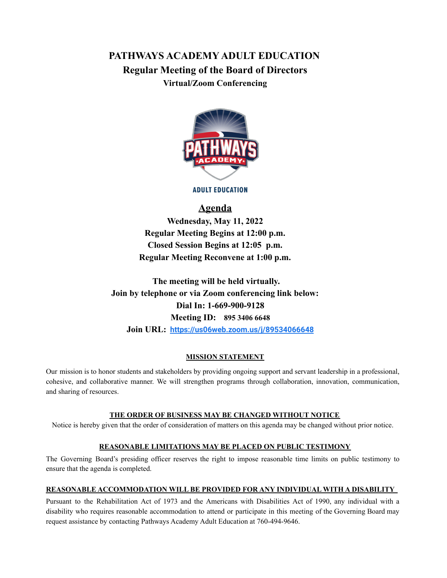# **PATHWAYS ACADEMY ADULT EDUCATION Regular Meeting of the Board of Directors Virtual/Zoom Conferencing**



**ADULT EDUCATION** 

## **Agenda**

**Wednesday, May 11, 2022 Regular Meeting Begins at 12:00 p.m. Closed Session Begins at 12:05 p.m. Regular Meeting Reconvene at 1:00 p.m.**

**The meeting will be held virtually. Join by telephone or via Zoom conferencing link below: Dial In: 1-669-900-9128 Meeting ID: 895 3406 6648 Join URL: <https://us06web.zoom.us/j/89534066648>**

#### **MISSION STATEMENT**

Our mission is to honor students and stakeholders by providing ongoing support and servant leadership in a professional, cohesive, and collaborative manner. We will strengthen programs through collaboration, innovation, communication, and sharing of resources.

#### **THE ORDER OF BUSINESS MAY BE CHANGED WITHOUT NOTICE**

Notice is hereby given that the order of consideration of matters on this agenda may be changed without prior notice.

#### **REASONABLE LIMITATIONS MAY BE PLACED ON PUBLIC TESTIMONY**

The Governing Board's presiding officer reserves the right to impose reasonable time limits on public testimony to ensure that the agenda is completed.

#### **REASONABLE ACCOMMODATION WILL BE PROVIDED FOR ANY INDIVIDUAL WITH A DISABILITY**

Pursuant to the Rehabilitation Act of 1973 and the Americans with Disabilities Act of 1990, any individual with a disability who requires reasonable accommodation to attend or participate in this meeting of the Governing Board may request assistance by contacting Pathways Academy Adult Education at 760-494-9646.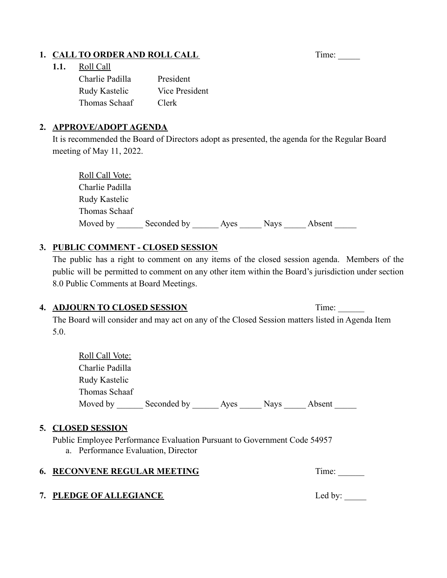# **1. CALL TO ORDER AND ROLL CALL** Time: \_\_\_\_\_\_

### **1.1.** Roll Call

| Charlie Padilla | President      |
|-----------------|----------------|
| Rudy Kastelic   | Vice President |
| Thomas Schaaf   | Clerk          |

### **2. APPROVE/ADOPT AGENDA**

It is recommended the Board of Directors adopt as presented, the agenda for the Regular Board meeting of May 11, 2022.

| Roll Call Vote: |             |      |             |        |
|-----------------|-------------|------|-------------|--------|
| Charlie Padilla |             |      |             |        |
| Rudy Kastelic   |             |      |             |        |
| Thomas Schaaf   |             |      |             |        |
| Moved by        | Seconded by | Ayes | <b>Nays</b> | Absent |

## **3. PUBLIC COMMENT - CLOSED SESSION**

The public has a right to comment on any items of the closed session agenda. Members of the public will be permitted to comment on any other item within the Board's jurisdiction under section 8.0 Public Comments at Board Meetings.

### **4. ADJOURN TO CLOSED SESSION** Time: \_\_\_\_\_\_

The Board will consider and may act on any of the Closed Session matters listed in Agenda Item 5.0.

| <b>Roll Call Vote:</b> |             |      |             |        |  |
|------------------------|-------------|------|-------------|--------|--|
| Charlie Padilla        |             |      |             |        |  |
| Rudy Kastelic          |             |      |             |        |  |
| Thomas Schaaf          |             |      |             |        |  |
| Moved by               | Seconded by | Aves | <b>Nays</b> | Absent |  |

### **5. CLOSED SESSION**

Public Employee Performance Evaluation Pursuant to Government Code 54957

a. Performance Evaluation, Director

|  | <b>6. RECONVENE REGULAR MEETING</b> | l ime: |
|--|-------------------------------------|--------|
|--|-------------------------------------|--------|

## **7. PLEDGE OF ALLEGIANCE** Led by: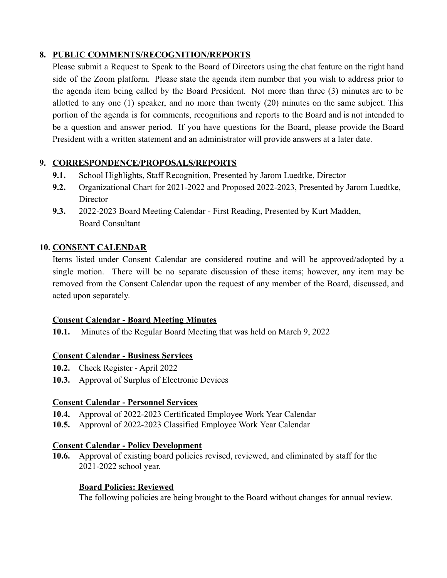## **8. PUBLIC COMMENTS/RECOGNITION/REPORTS**

Please submit a Request to Speak to the Board of Directors using the chat feature on the right hand side of the Zoom platform. Please state the agenda item number that you wish to address prior to the agenda item being called by the Board President. Not more than three (3) minutes are to be allotted to any one (1) speaker, and no more than twenty (20) minutes on the same subject. This portion of the agenda is for comments, recognitions and reports to the Board and is not intended to be a question and answer period. If you have questions for the Board, please provide the Board President with a written statement and an administrator will provide answers at a later date.

## **9. CORRESPONDENCE/PROPOSALS/REPORTS**

- **9.1.** School Highlights, Staff Recognition, Presented by Jarom Luedtke, Director
- **9.2.** Organizational Chart for 2021-2022 and Proposed 2022-2023, Presented by Jarom Luedtke, **Director**
- **9.3.** 2022-2023 Board Meeting Calendar First Reading, Presented by Kurt Madden, Board Consultant

## **10. CONSENT CALENDAR**

Items listed under Consent Calendar are considered routine and will be approved/adopted by a single motion. There will be no separate discussion of these items; however, any item may be removed from the Consent Calendar upon the request of any member of the Board, discussed, and acted upon separately.

## **Consent Calendar - Board Meeting Minutes**

**10.1.** Minutes of the Regular Board Meeting that was held on March 9, 2022

## **Consent Calendar - Business Services**

- **10.2.** Check Register April 2022
- **10.3.** Approval of Surplus of Electronic Devices

## **Consent Calendar - Personnel Services**

- **10.4.** Approval of 2022-2023 Certificated Employee Work Year Calendar
- **10.5.** Approval of 2022-2023 Classified Employee Work Year Calendar

## **Consent Calendar - Policy Development**

**10.6.** Approval of existing board policies revised, reviewed, and eliminated by staff for the 2021-2022 school year.

## **Board Policies: Reviewed**

The following policies are being brought to the Board without changes for annual review.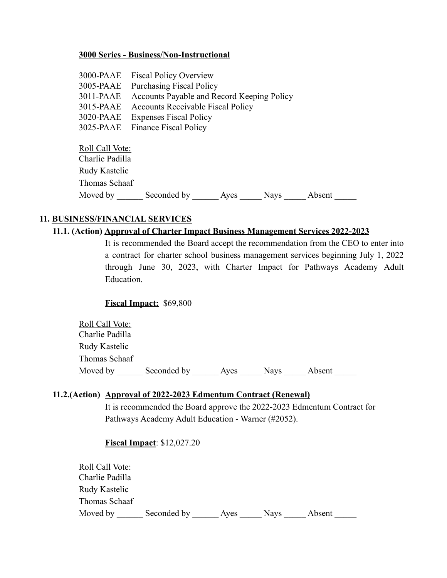#### **3000 Series - Business/Non-Instructional**

| 3000-PAAE       | <b>Fiscal Policy Overview</b>              |
|-----------------|--------------------------------------------|
| 3005-PAAE       | <b>Purchasing Fiscal Policy</b>            |
| 3011-PAAE       | Accounts Payable and Record Keeping Policy |
| 3015-PAAE       | <b>Accounts Receivable Fiscal Policy</b>   |
| 3020-PAAE       | <b>Expenses Fiscal Policy</b>              |
| 3025-PAAE       | <b>Finance Fiscal Policy</b>               |
| Roll Call Vote: |                                            |
| Charlie Padilla |                                            |
| Rudy Kastelic   |                                            |
| Thomas Schaaf   |                                            |

Moved by \_\_\_\_\_\_\_ Seconded by \_\_\_\_\_\_\_ Ayes \_\_\_\_\_\_ Nays \_\_\_\_\_\_ Absent \_\_\_\_\_\_

### **11. BUSINESS/FINANCIAL SERVICES**

#### **11.1. (Action) Approval of Charter Impact Business Management Services 2022-2023**

It is recommended the Board accept the recommendation from the CEO to enter into a contract for charter school business management services beginning July 1, 2022 through June 30, 2023, with Charter Impact for Pathways Academy Adult Education.

#### **Fiscal Impact:** \$69,800

| <b>Roll Call Vote:</b> |             |      |             |        |
|------------------------|-------------|------|-------------|--------|
| Charlie Padilla        |             |      |             |        |
| Rudy Kastelic          |             |      |             |        |
| Thomas Schaaf          |             |      |             |        |
| Moved by               | Seconded by | Aves | <b>Navs</b> | Absent |

#### **11.2.(Action) Approval of 2022-2023 Edmentum Contract (Renewal)**

It is recommended the Board approve the 2022-2023 Edmentum Contract for Pathways Academy Adult Education - Warner (#2052).

#### **Fiscal Impact**: \$12,027.20

| Roll Call Vote: |             |      |             |        |  |
|-----------------|-------------|------|-------------|--------|--|
| Charlie Padilla |             |      |             |        |  |
| Rudy Kastelic   |             |      |             |        |  |
| Thomas Schaaf   |             |      |             |        |  |
| Moved by        | Seconded by | Ayes | <b>Nays</b> | Absent |  |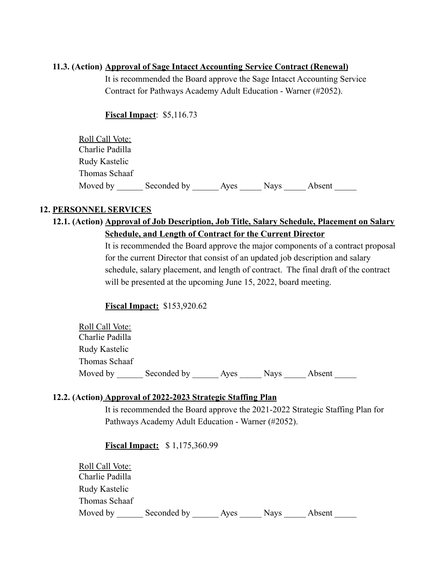#### **11.3. (Action) Approval of Sage Intacct Accounting Service Contract (Renewal)**

It is recommended the Board approve the Sage Intacct Accounting Service Contract for Pathways Academy Adult Education - Warner (#2052).

### **Fiscal Impact**: \$5,116.73

| Roll Call Vote: |             |      |             |        |  |
|-----------------|-------------|------|-------------|--------|--|
| Charlie Padilla |             |      |             |        |  |
| Rudy Kastelic   |             |      |             |        |  |
| Thomas Schaaf   |             |      |             |        |  |
| Moved by        | Seconded by | Aves | <b>Nays</b> | Absent |  |

### **12. PERSONNEL SERVICES**

## **12.1. (Action) Approval of Job Description, Job Title, Salary Schedule, Placement on Salary Schedule, and Length of Contract for the Current Director**

It is recommended the Board approve the major components of a contract proposal for the current Director that consist of an updated job description and salary schedule, salary placement, and length of contract. The final draft of the contract will be presented at the upcoming June 15, 2022, board meeting.

### **Fiscal Impact:** \$153,920.62

Roll Call Vote: Charlie Padilla Rudy Kastelic Thomas Schaaf Moved by \_\_\_\_\_\_\_ Seconded by \_\_\_\_\_\_\_\_\_\_\_ Ayes \_\_\_\_\_\_\_ Nays \_\_\_\_\_ Absent

### **12.2. (Action) Approval of 2022-2023 Strategic Staffing Plan**

It is recommended the Board approve the 2021-2022 Strategic Staffing Plan for Pathways Academy Adult Education - Warner (#2052).

**Fiscal Impact:** \$ 1,175,360.99

| Roll Call Vote: |             |      |             |        |  |
|-----------------|-------------|------|-------------|--------|--|
| Charlie Padilla |             |      |             |        |  |
| Rudy Kastelic   |             |      |             |        |  |
| Thomas Schaaf   |             |      |             |        |  |
| Moved by        | Seconded by | Aves | <b>Navs</b> | Absent |  |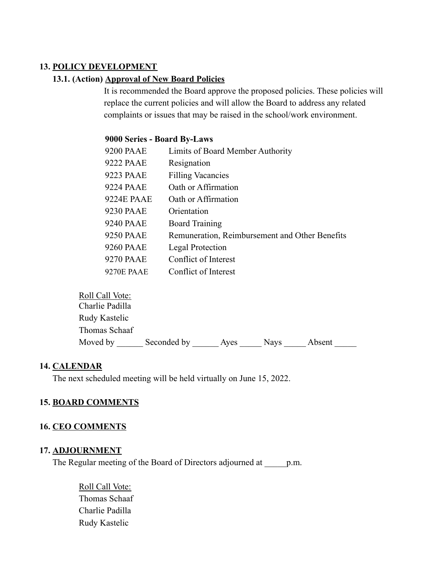### **13. POLICY DEVELOPMENT**

#### **13.1. (Action) Approval of New Board Policies**

It is recommended the Board approve the proposed policies. These policies will replace the current policies and will allow the Board to address any related complaints or issues that may be raised in the school/work environment.

#### **9000 Series - Board By-Laws**

| <b>9200 PAAE</b>  | Limits of Board Member Authority               |
|-------------------|------------------------------------------------|
| 9222 PAAE         | Resignation                                    |
| 9223 PAAE         | <b>Filling Vacancies</b>                       |
| <b>9224 PAAE</b>  | Oath or Affirmation                            |
| 9224E PAAE        | Oath or Affirmation                            |
| 9230 PAAE         | Orientation                                    |
| <b>9240 PAAE</b>  | <b>Board Training</b>                          |
| <b>9250 PAAE</b>  | Remuneration, Reimbursement and Other Benefits |
| <b>9260 PAAE</b>  | Legal Protection                               |
| 9270 PAAE         | Conflict of Interest                           |
| <b>9270E PAAE</b> | Conflict of Interest                           |

| Roll Call Vote: |             |      |             |        |
|-----------------|-------------|------|-------------|--------|
| Charlie Padilla |             |      |             |        |
| Rudy Kastelic   |             |      |             |        |
| Thomas Schaaf   |             |      |             |        |
| Moved by        | Seconded by | Aves | <b>Navs</b> | Absent |

#### **14. CALENDAR**

The next scheduled meeting will be held virtually on June 15, 2022.

## **15. BOARD COMMENTS**

#### **16. CEO COMMENTS**

#### **17. ADJOURNMENT**

The Regular meeting of the Board of Directors adjourned at p.m.

Roll Call Vote: Thomas Schaaf Charlie Padilla Rudy Kastelic